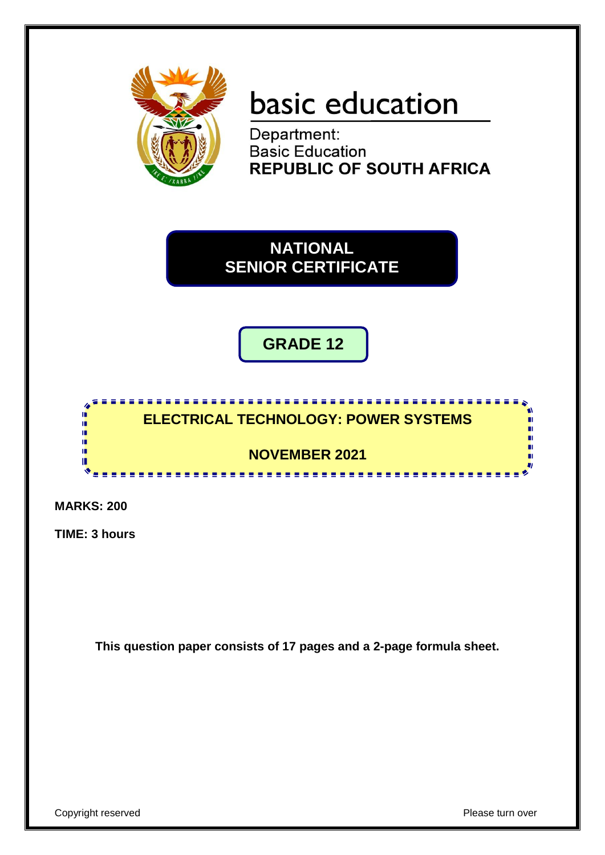

# basic education

Department:<br>Basic Education **REPUBLIC OF SOUTH AFRICA** 

**NATIONAL SENIOR CERTIFICATE**

**GRADE 12**



**MARKS: 200**

**TIME: 3 hours**

**This question paper consists of 17 pages and a 2-page formula sheet.**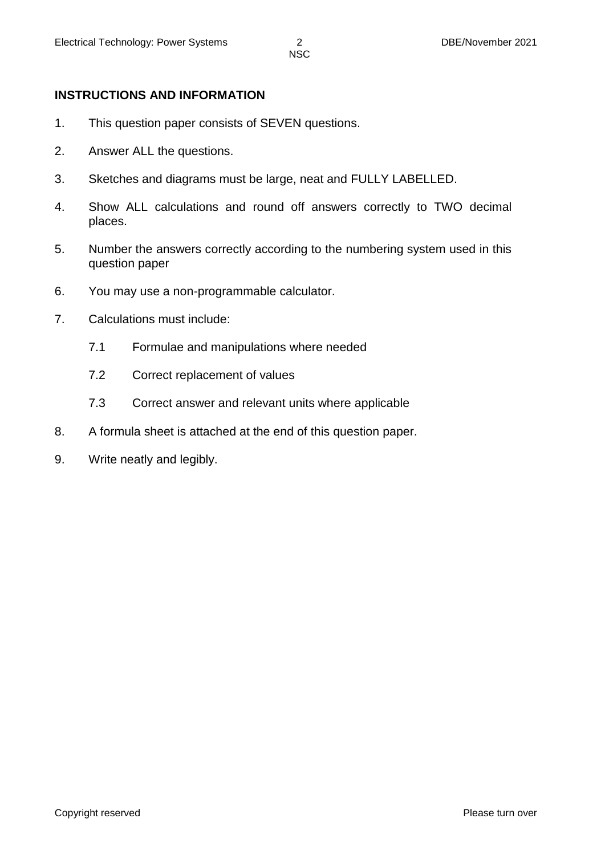#### **INSTRUCTIONS AND INFORMATION**

- 1. This question paper consists of SEVEN questions.
- 2. Answer ALL the questions.
- 3. Sketches and diagrams must be large, neat and FULLY LABELLED.
- 4. Show ALL calculations and round off answers correctly to TWO decimal places.
- 5. Number the answers correctly according to the numbering system used in this question paper
- 6. You may use a non-programmable calculator.
- 7. Calculations must include:
	- 7.1 Formulae and manipulations where needed
	- 7.2 Correct replacement of values
	- 7.3 Correct answer and relevant units where applicable
- 8. A formula sheet is attached at the end of this question paper.
- 9. Write neatly and legibly.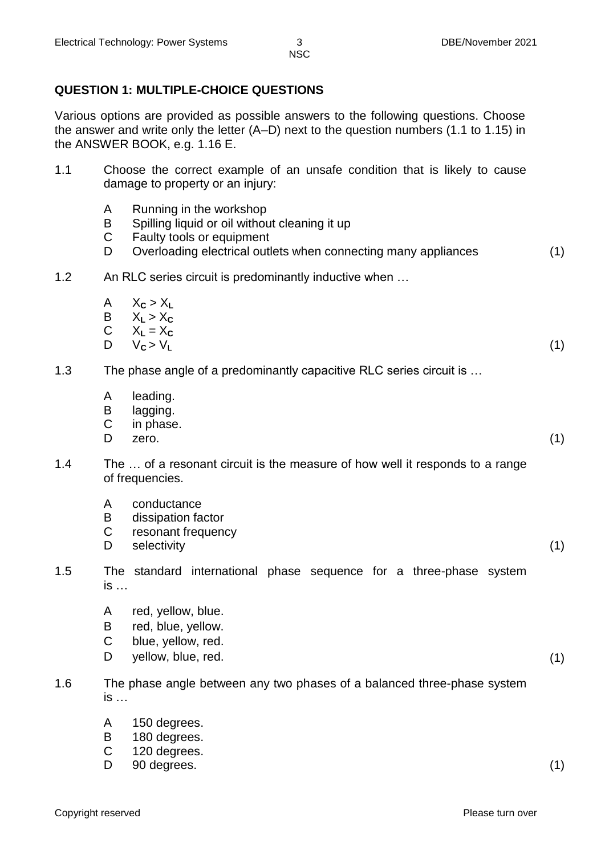# **QUESTION 1: MULTIPLE-CHOICE QUESTIONS**

Various options are provided as possible answers to the following questions. Choose the answer and write only the letter (A–D) next to the question numbers (1.1 to 1.15) in the ANSWER BOOK, e.g. 1.16 E.

- 1.1 Choose the correct example of an unsafe condition that is likely to cause damage to property or an injury:
	- A Running in the workshop
	- B Spilling liquid or oil without cleaning it up
	- C Faulty tools or equipment
	- D Overloading electrical outlets when connecting many appliances (1)
- 1.2 An RLC series circuit is predominantly inductive when …
	- $A \times C > X_L$
	- $X_1 > X_c$
	- C  $X_L = X_C$ <br>D  $V_C > V_L$
	- D V**<sup>C</sup>** > V<sup>L</sup> (1)

1.3 The phase angle of a predominantly capacitive RLC series circuit is …

- A leading.
- B lagging.
- C in phase.
- $D$  zero.  $(1)$

- 1.4 The … of a resonant circuit is the measure of how well it responds to a range of frequencies.
	- A conductance
	- B dissipation factor
	- C resonant frequency
	- D selectivity (1)
- 1.5 The standard international phase sequence for a three-phase system is …
	- A red, yellow, blue.
	- B red, blue, yellow.
	- C blue, yellow, red.
	- D yellow, blue, red. (1)
- 1.6 The phase angle between any two phases of a balanced three-phase system is …
	- A 150 degrees.
	- B 180 degrees.
	- C 120 degrees.
	- D 90 degrees. (1)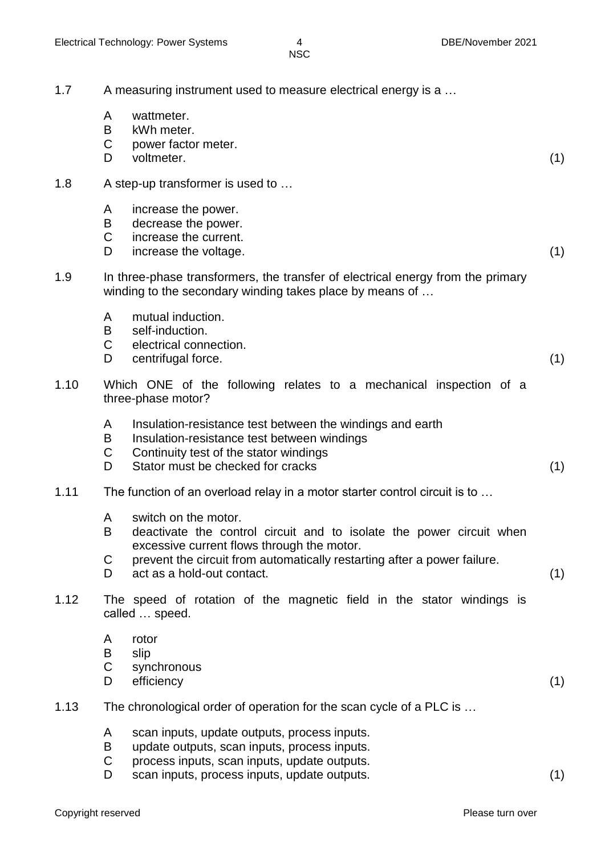| 1.7  | A measuring instrument used to measure electrical energy is a |                                                                                                                                                                                                                                                      |     |
|------|---------------------------------------------------------------|------------------------------------------------------------------------------------------------------------------------------------------------------------------------------------------------------------------------------------------------------|-----|
|      | A<br>B<br>$\mathsf C$<br>D                                    | wattmeter.<br>kWh meter.<br>power factor meter.<br>voltmeter.                                                                                                                                                                                        | (1) |
| 1.8  |                                                               | A step-up transformer is used to                                                                                                                                                                                                                     |     |
|      | A<br>B<br>$\mathsf C$<br>D                                    | increase the power.<br>decrease the power.<br>increase the current.<br>increase the voltage.                                                                                                                                                         | (1) |
| 1.9  |                                                               | In three-phase transformers, the transfer of electrical energy from the primary<br>winding to the secondary winding takes place by means of                                                                                                          |     |
|      | A<br>B<br>$\mathsf{C}$<br>D                                   | mutual induction.<br>self-induction.<br>electrical connection.<br>centrifugal force.                                                                                                                                                                 | (1) |
| 1.10 |                                                               | Which ONE of the following relates to a mechanical inspection of a<br>three-phase motor?                                                                                                                                                             |     |
|      | A<br>B<br>$\mathsf C$<br>D                                    | Insulation-resistance test between the windings and earth<br>Insulation-resistance test between windings<br>Continuity test of the stator windings<br>Stator must be checked for cracks                                                              | (1) |
| 1.11 |                                                               | The function of an overload relay in a motor starter control circuit is to                                                                                                                                                                           |     |
|      | A<br>В<br>C<br>D                                              | switch on the motor.<br>deactivate the control circuit and to isolate the power circuit when<br>excessive current flows through the motor.<br>prevent the circuit from automatically restarting after a power failure.<br>act as a hold-out contact. | (1) |
| 1.12 |                                                               | The speed of rotation of the magnetic field in the stator windings is<br>called  speed.                                                                                                                                                              |     |
|      | A<br>B<br>$\mathsf C$<br>D                                    | rotor<br>slip<br>synchronous<br>efficiency                                                                                                                                                                                                           | (1) |
| 1.13 |                                                               | The chronological order of operation for the scan cycle of a PLC is                                                                                                                                                                                  |     |
|      | A<br>B<br>$\mathsf C$<br>D                                    | scan inputs, update outputs, process inputs.<br>update outputs, scan inputs, process inputs.<br>process inputs, scan inputs, update outputs.<br>scan inputs, process inputs, update outputs.                                                         |     |

scan inputs, process inputs, update outputs. (1)

Copyright reserved **Please** turn over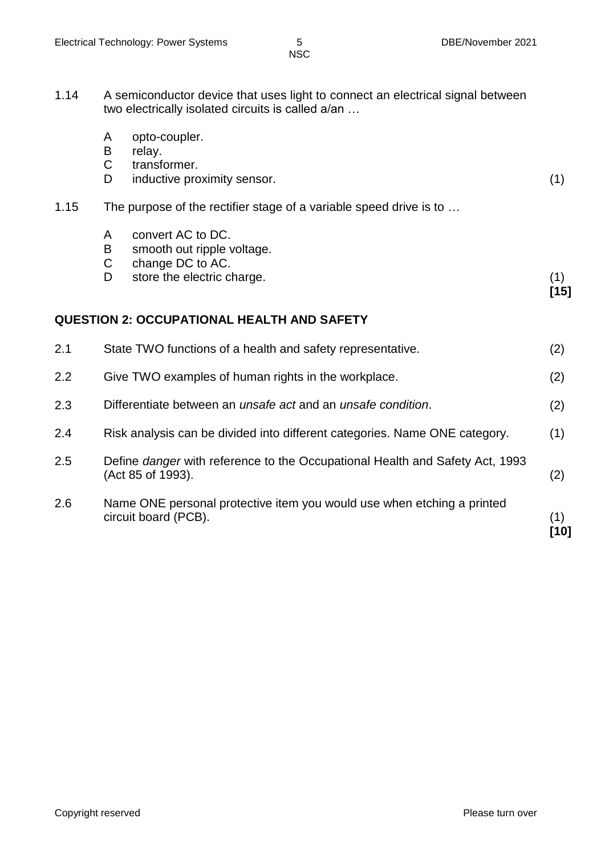1.14 A semiconductor device that uses light to connect an electrical signal between two electrically isolated circuits is called a/an …

|      | A<br>B<br>$\mathsf C$<br>D | opto-coupler.<br>relay.<br>transformer.<br>inductive proximity sensor.                            | (1)           |
|------|----------------------------|---------------------------------------------------------------------------------------------------|---------------|
| 1.15 |                            | The purpose of the rectifier stage of a variable speed drive is to                                |               |
|      | A<br>B<br>C<br>D           | convert AC to DC.<br>smooth out ripple voltage.<br>change DC to AC.<br>store the electric charge. | (1)<br>$[15]$ |
|      |                            | <b>QUESTION 2: OCCUPATIONAL HEALTH AND SAFETY</b>                                                 |               |
| 2.1  |                            | State TWO functions of a health and safety representative.                                        | (2)           |
| 2.2  |                            | Give TWO examples of human rights in the workplace.                                               | (2)           |
| 2.3  |                            | Differentiate between an <i>unsafe act</i> and an <i>unsafe condition</i> .                       | (2)           |
| 2.4  |                            | Risk analysis can be divided into different categories. Name ONE category.                        | (1)           |
| 2.5  |                            | Define danger with reference to the Occupational Health and Safety Act, 1993<br>(Act 85 of 1993). | (2)           |
| 2.6  |                            | Name ONE personal protective item you would use when etching a printed<br>circuit board (PCB).    | (1)<br>$[10]$ |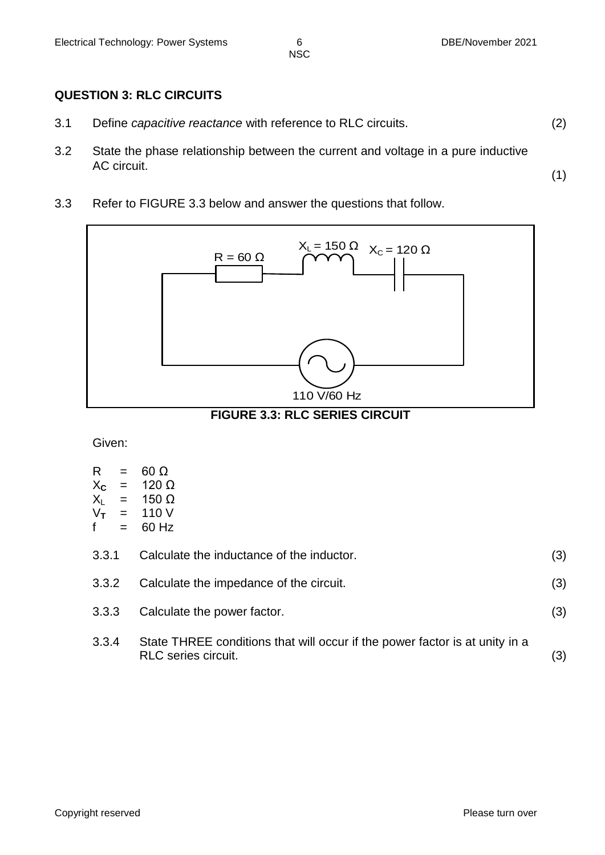(1)

NSC

## **QUESTION 3: RLC CIRCUITS**

- 3.1 Define *capacitive reactance* with reference to RLC circuits. (2)
- 3.2 State the phase relationship between the current and voltage in a pure inductive AC circuit.
- 3.3 Refer to FIGURE 3.3 below and answer the questions that follow.



**FIGURE 3.3: RLC SERIES CIRCUIT**

Given:

| R.<br>$X_{\mathbf{C}}$<br>$X_L$<br>$V_T$                                                                           | $=$<br>$=$<br>$=$ | $60 \Omega$<br>120 $\Omega$<br>$= 150 \Omega$<br>$= 110 V$<br>60 Hz |     |
|--------------------------------------------------------------------------------------------------------------------|-------------------|---------------------------------------------------------------------|-----|
| 3.3.1                                                                                                              |                   | Calculate the inductance of the inductor.                           | (3) |
| Calculate the impedance of the circuit.<br>3.3.2                                                                   |                   | (3)                                                                 |     |
| 3.3.3                                                                                                              |                   | Calculate the power factor.                                         | (3) |
| 3.3.4<br>State THREE conditions that will occur if the power factor is at unity in a<br><b>RLC</b> series circuit. |                   | (3)                                                                 |     |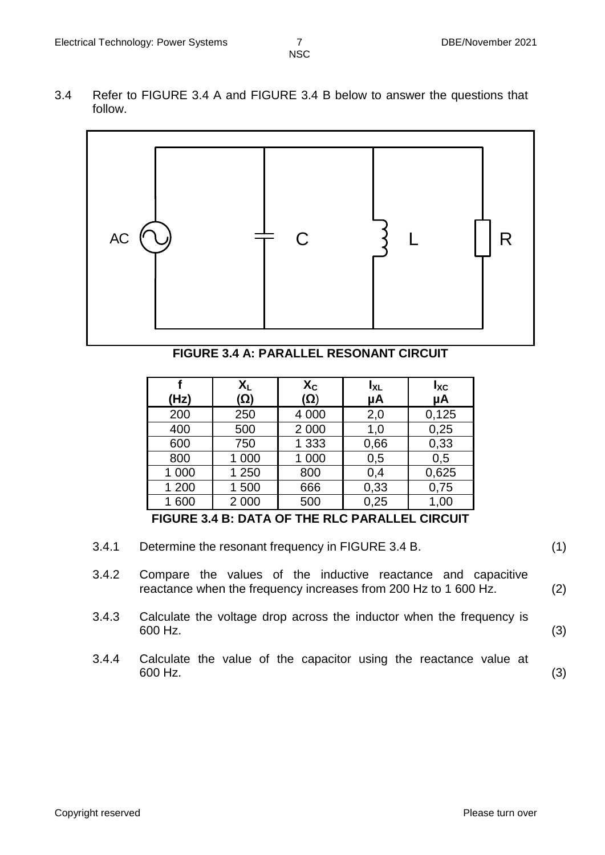3.4 Refer to FIGURE 3.4 A and FIGURE 3.4 B below to answer the questions that follow.



**FIGURE 3.4 A: PARALLEL RESONANT CIRCUIT**

| (Hz)  | XL<br>(Ω) | $\mathsf{X}_{\mathsf{C}}$<br>(Ω) | $I_{XL}$<br>μA | $I_{\text{XC}}$<br>μA |
|-------|-----------|----------------------------------|----------------|-----------------------|
| 200   | 250       | 4 0 0 0                          | 2,0            | 0,125                 |
| 400   | 500       | 2 0 0 0                          | 1,0            | 0,25                  |
| 600   | 750       | 1 3 3 3                          | 0,66           | 0,33                  |
| 800   | 1 000     | 1 000                            | 0,5            | 0,5                   |
| 1 000 | 1 250     | 800                              | 0,4            | 0,625                 |
| 1 200 | 1500      | 666                              | 0,33           | 0,75                  |
| 1 600 | 2 0 0 0   | 500                              | 0,25           | 1,00                  |

**FIGURE 3.4 B: DATA OF THE RLC PARALLEL CIRCUIT**

- 3.4.1 Determine the resonant frequency in FIGURE 3.4 B. (1)
- 3.4.2 Compare the values of the inductive reactance and capacitive reactance when the frequency increases from 200 Hz to 1 600 Hz. (2)
- 3.4.3 Calculate the voltage drop across the inductor when the frequency is  $600$  Hz. (3)
- 3.4.4 Calculate the value of the capacitor using the reactance value at  $600$  Hz. (3)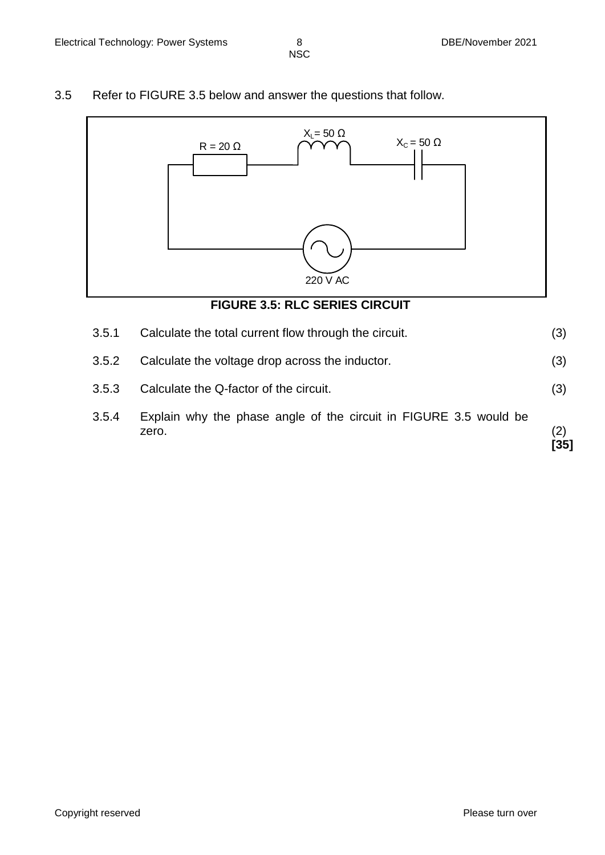3.5 Refer to FIGURE 3.5 below and answer the questions that follow.



- 3.5.3 Calculate the Q-factor of the circuit. (3)
- 3.5.4 Explain why the phase angle of the circuit in FIGURE 3.5 would be zero. (2) **[35]**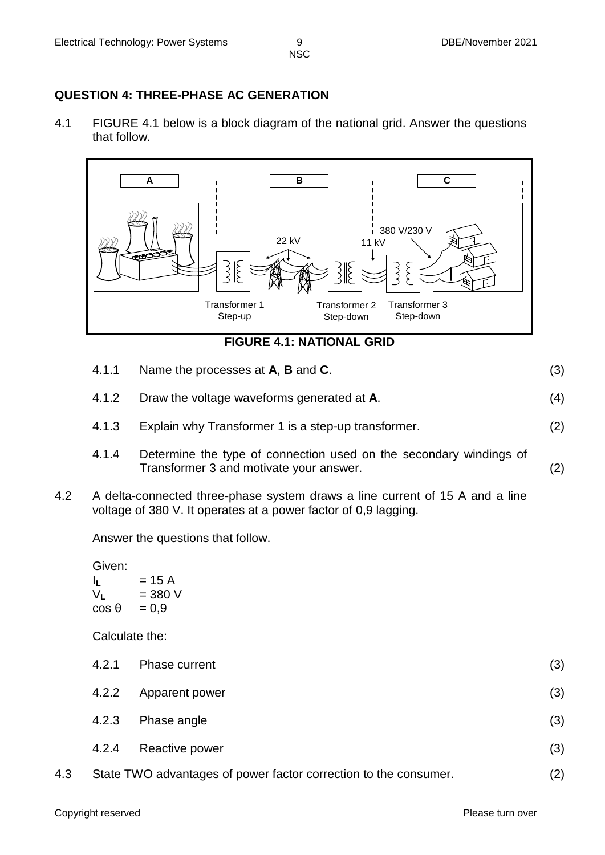## **QUESTION 4: THREE-PHASE AC GENERATION**

4.1 FIGURE 4.1 below is a block diagram of the national grid. Answer the questions that follow.



**FIGURE 4.1: NATIONAL GRID**

- 4.1.1 Name the processes at **A**, **B** and **C**. (3)
- 4.1.2 Draw the voltage waveforms generated at **A**. (4)
- 4.1.3 Explain why Transformer 1 is a step-up transformer. (2)
- 4.1.4 Determine the type of connection used on the secondary windings of Transformer 3 and motivate your answer. (2)
- 4.2 A delta-connected three-phase system draws a line current of 15 A and a line voltage of 380 V. It operates at a power factor of 0,9 lagging.

Answer the questions that follow.

Given:

| IL.            | = 15 A    |
|----------------|-----------|
| V <sub>L</sub> | $= 380 V$ |
| $\cos \theta$  | $= 0.9$   |

Calculate the:

|     | 4.2.1 | Phase current                                                    | (3) |
|-----|-------|------------------------------------------------------------------|-----|
|     | 4.2.2 | Apparent power                                                   | (3) |
|     | 4.2.3 | Phase angle                                                      | (3) |
|     | 4.2.4 | Reactive power                                                   | (3) |
| 4.3 |       | State TWO advantages of power factor correction to the consumer. | (2) |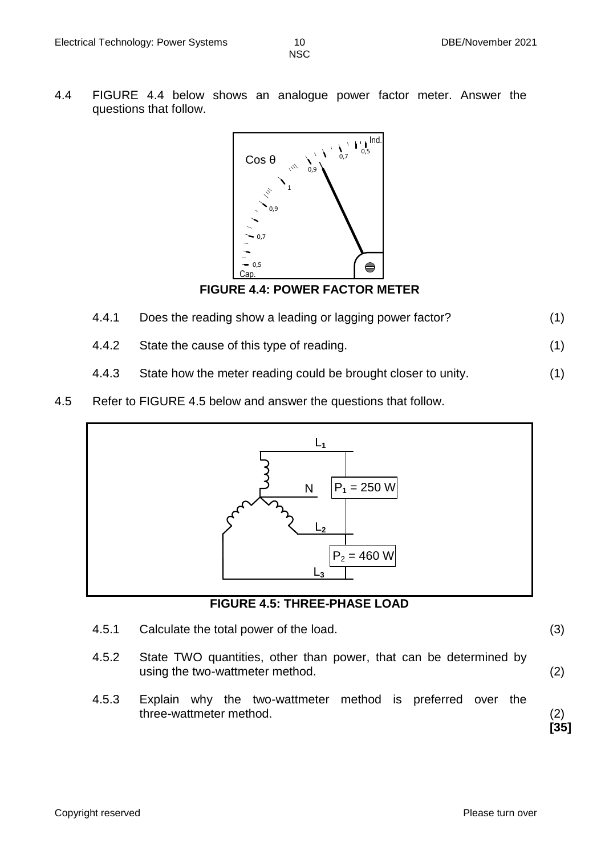4.4 FIGURE 4.4 below shows an analogue power factor meter. Answer the questions that follow.



**FIGURE 4.4: POWER FACTOR METER**

- 4.4.1 Does the reading show a leading or lagging power factor? (1)
- 4.4.2 State the cause of this type of reading. (1)
- 4.4.3 State how the meter reading could be brought closer to unity. (1)
- 4.5 Refer to FIGURE 4.5 below and answer the questions that follow.



#### **FIGURE 4.5: THREE-PHASE LOAD**

- 4.5.1 Calculate the total power of the load. (3)
- 4.5.2 State TWO quantities, other than power, that can be determined by using the two-wattmeter method. (2)
- 4.5.3 Explain why the two-wattmeter method is preferred over the three-wattmeter method. (2)

**[35]**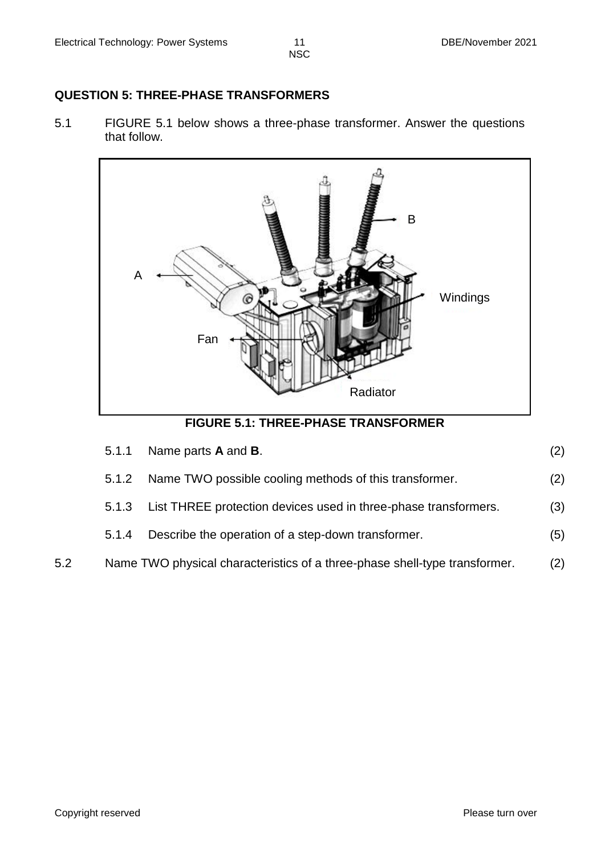#### **QUESTION 5: THREE-PHASE TRANSFORMERS**

5.1 FIGURE 5.1 below shows a three-phase transformer. Answer the questions that follow.



**FIGURE 5.1: THREE-PHASE TRANSFORMER**

|     | 5.1.1 | Name parts <b>A</b> and <b>B</b> .                                         | (2) |
|-----|-------|----------------------------------------------------------------------------|-----|
|     |       | 5.1.2 Name TWO possible cooling methods of this transformer.               | (2) |
|     |       | 5.1.3 List THREE protection devices used in three-phase transformers.      | (3) |
|     | 5.1.4 | Describe the operation of a step-down transformer.                         | (5) |
| 5.2 |       | Name TWO physical characteristics of a three-phase shell-type transformer. | (2) |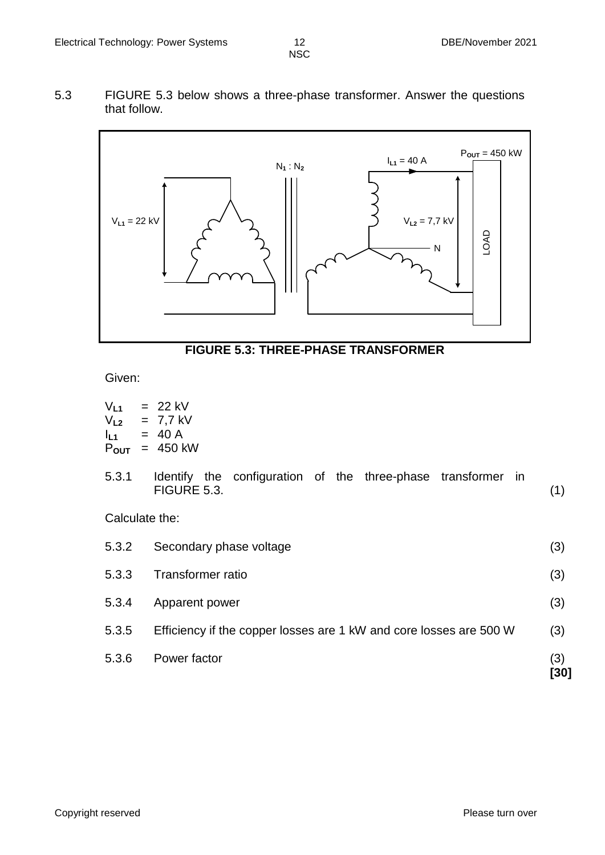5.3 FIGURE 5.3 below shows a three-phase transformer. Answer the questions that follow.



#### **FIGURE 5.3: THREE-PHASE TRANSFORMER**

Given:

| $V_{L1}$<br>$V_{L2}$<br>$I_{L1}$<br>$P_{\text{OUT}}$ | $= 22$ kV<br>$= 7,7$ kV<br>$= 40 A$<br>$= 450$ kW                           |             |  |
|------------------------------------------------------|-----------------------------------------------------------------------------|-------------|--|
| 5.3.1                                                | Identify the configuration of the three-phase transformer in<br>FIGURE 5.3. | (1)         |  |
| Calculate the:                                       |                                                                             |             |  |
| 5.3.2                                                | Secondary phase voltage                                                     | (3)         |  |
| 5.3.3                                                | Transformer ratio                                                           |             |  |
| 5.3.4                                                | Apparent power                                                              | (3)         |  |
| 5.3.5                                                | Efficiency if the copper losses are 1 kW and core losses are 500 W          | (3)         |  |
| 5.3.6                                                | Power factor                                                                | (3)<br>[30] |  |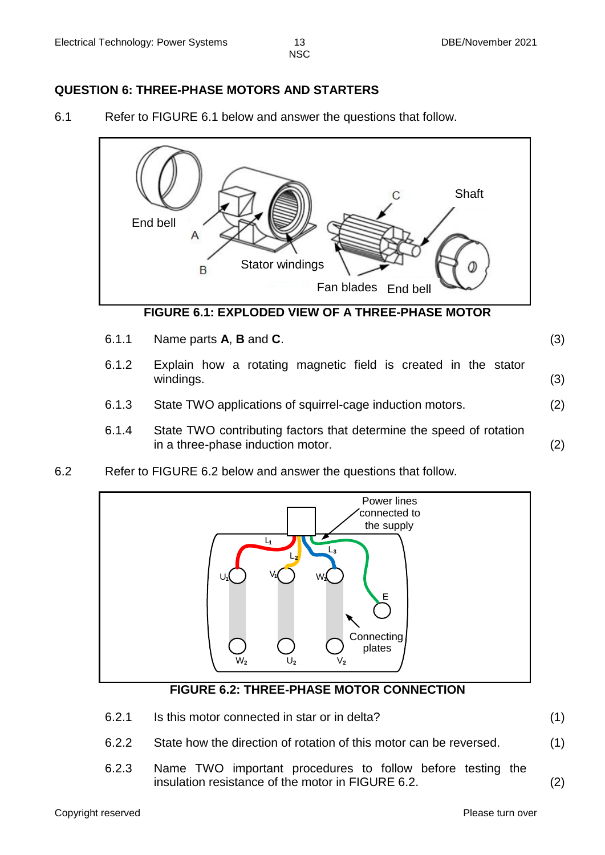# **QUESTION 6: THREE-PHASE MOTORS AND STARTERS**

6.1 Refer to FIGURE 6.1 below and answer the questions that follow.



- 6.1.1 Name parts **A**, **B** and **C**. (3)
- 6.1.2 Explain how a rotating magnetic field is created in the stator windings. (3)
- 6.1.3 State TWO applications of squirrel-cage induction motors. (2)
- 6.1.4 State TWO contributing factors that determine the speed of rotation in a three-phase induction motor. (2)
- 6.2 Refer to FIGURE 6.2 below and answer the questions that follow.



#### **FIGURE 6.2: THREE-PHASE MOTOR CONNECTION**

- 6.2.1 Is this motor connected in star or in delta? (1)
- 6.2.2 State how the direction of rotation of this motor can be reversed. (1)
- 6.2.3 Name TWO important procedures to follow before testing the insulation resistance of the motor in FIGURE 6.2. (2)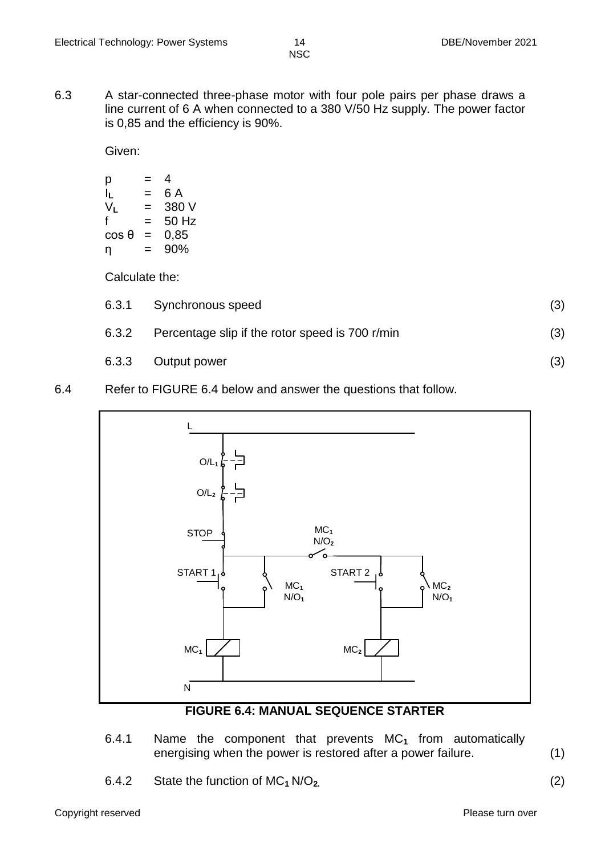6.3 A star-connected three-phase motor with four pole pairs per phase draws a line current of 6 A when connected to a 380 V/50 Hz supply. The power factor is 0,85 and the efficiency is 90%.

Given:

$$
p = 4 \n lL = 6 A \n VL = 380 V \n f = 50 Hz \n cos θ = 0,85 \n \eta = 90%
$$

Calculate the:

|       | 6.3.1 Synchronous speed                         |     |
|-------|-------------------------------------------------|-----|
| 6.3.2 | Percentage slip if the rotor speed is 700 r/min | (3) |
|       | 6.3.3 Output power                              | (3) |

#### 6.4 Refer to FIGURE 6.4 below and answer the questions that follow.



#### **FIGURE 6.4: MANUAL SEQUENCE STARTER**

- 6.4.1 Name the component that prevents MC**<sup>1</sup>** from automatically energising when the power is restored after a power failure. (1)
- 6.4.2 State the function of MC**<sup>1</sup>** N/O**2.** (2)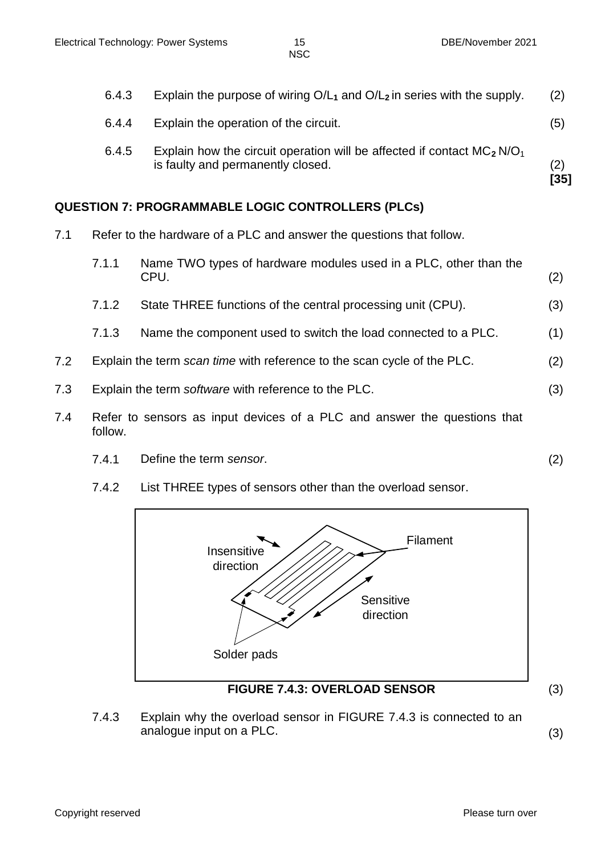| 6.4.4<br>6.4.5 | Explain the operation of the circuit.<br>Explain how the circuit operation will be affected if contact $MC_2 N/O_1$ | (5)         |
|----------------|---------------------------------------------------------------------------------------------------------------------|-------------|
|                | is faulty and permanently closed.                                                                                   | (2)<br>[35] |

# **QUESTION 7: PROGRAMMABLE LOGIC CONTROLLERS (PLCs)**

- 7.1 Refer to the hardware of a PLC and answer the questions that follow.
	- 7.1.1 Name TWO types of hardware modules used in a PLC, other than the  $CPU.$  (2)
	- 7.1.2 State THREE functions of the central processing unit (CPU). (3)
	- 7.1.3 Name the component used to switch the load connected to a PLC. (1)
- 7.2 Explain the term *scan time* with reference to the scan cycle of the PLC. (2)
- 7.3 Explain the term *software* with reference to the PLC. (3)
- 7.4 Refer to sensors as input devices of a PLC and answer the questions that follow.
	- 7.4.1 Define the term *sensor*. (2)
	- 7.4.2 List THREE types of sensors other than the overload sensor.



## **FIGURE 7.4.3: OVERLOAD SENSOR** (3)

7.4.3 Explain why the overload sensor in FIGURE 7.4.3 is connected to an analogue input on a PLC. (3)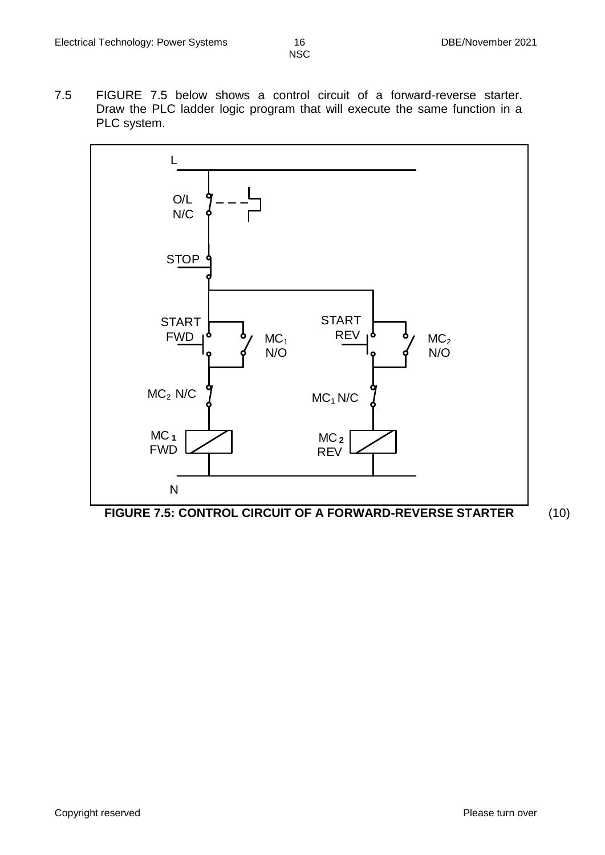7.5 FIGURE 7.5 below shows a control circuit of a forward-reverse starter. Draw the PLC ladder logic program that will execute the same function in a PLC system.



**FIGURE 7.5: CONTROL CIRCUIT OF A FORWARD-REVERSE STARTER** (10)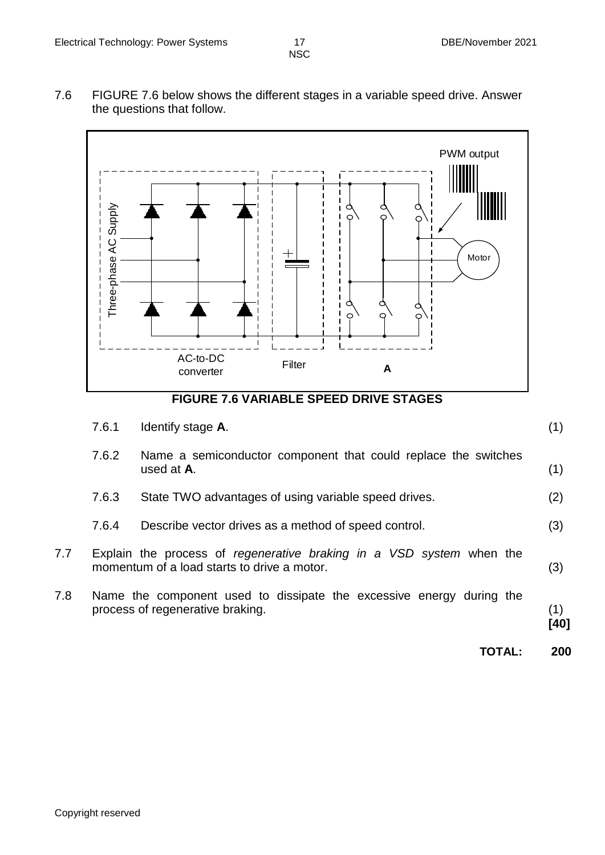7.6 FIGURE 7.6 below shows the different stages in a variable speed drive. Answer the questions that follow.



**FIGURE 7.6 VARIABLE SPEED DRIVE STAGES**

|     | 7.6.1 | Identify stage A.                                                                                                   | (1)         |
|-----|-------|---------------------------------------------------------------------------------------------------------------------|-------------|
|     | 7.6.2 | Name a semiconductor component that could replace the switches<br>used at A.                                        | (1)         |
|     | 7.6.3 | State TWO advantages of using variable speed drives.                                                                | (2)         |
|     | 7.6.4 | Describe vector drives as a method of speed control.                                                                | (3)         |
| 7.7 |       | Explain the process of regenerative braking in a VSD system when the<br>momentum of a load starts to drive a motor. | (3)         |
| 7.8 |       | Name the component used to dissipate the excessive energy during the<br>process of regenerative braking.            | (1)<br>[40] |
|     |       | <b>TOTAL:</b>                                                                                                       | 200         |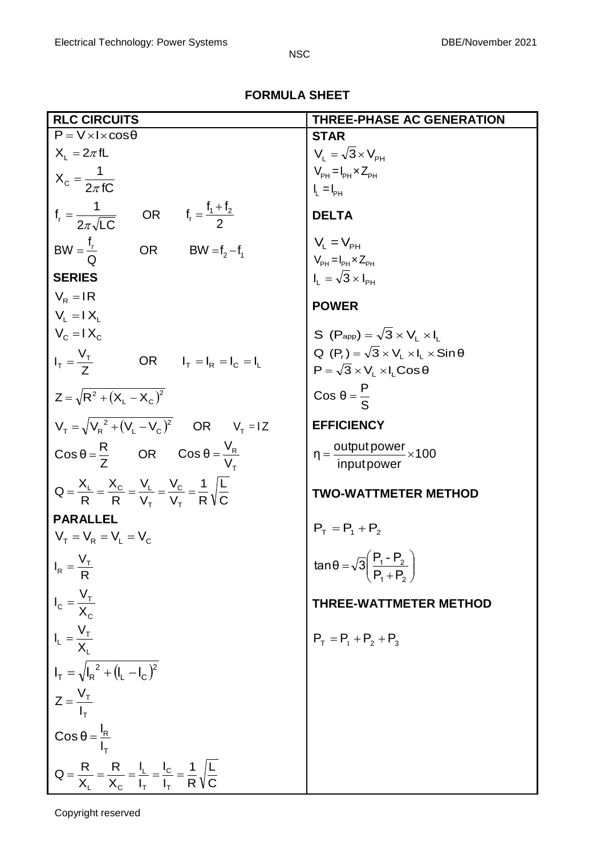# **FORMULA SHEET**

| <b>RLC CIRCUITS</b>                                                                                                | <b>THREE-PHASE AC GENERATION</b>                              |
|--------------------------------------------------------------------------------------------------------------------|---------------------------------------------------------------|
| $P = V \times I \times cos\theta$                                                                                  | <b>STAR</b>                                                   |
| $X_1 = 2\pi fL$                                                                                                    | $V_{L} = \sqrt{3} \times V_{\text{PH}}$                       |
| $X_c = \frac{1}{2\pi fC}$                                                                                          | $V_{PH} = I_{PH} \times Z_{PH}$                               |
|                                                                                                                    | $I_L = I_{PH}$                                                |
| $f_r = \frac{1}{2\pi\sqrt{LC}}$ OR $f_r = \frac{f_1 + f_2}{2}$                                                     | <b>DELTA</b>                                                  |
| $BW = \frac{f_r}{Q}$<br>OR BW = $f_2 - f_1$                                                                        | $V_{\rm I} = V_{\rm PH}$                                      |
|                                                                                                                    | $V_{PH} = I_{PH} \times Z_{PH}$                               |
| <b>SERIES</b>                                                                                                      | $I_{L} = \sqrt{3} \times I_{\text{pH}}$                       |
| $V_{\rm R}$ = IR<br>$V_i = IX_i$                                                                                   | <b>POWER</b>                                                  |
| $V_c = IX_c$                                                                                                       | S $(P_{app}) = \sqrt{3} \times V_1 \times I_1$                |
|                                                                                                                    | Q $(P_r) = \sqrt{3} \times V_L \times I_L \times \sin \theta$ |
| $I_T = \frac{V_T}{7}$<br>OR $I_T = I_R = I_C = I_L$                                                                | $P = \sqrt{3} \times V_1 \times I_1 \cos \theta$              |
| $Z = \sqrt{R^2 + (X_L - X_C)^2}$                                                                                   | $\cos \theta = \frac{P}{S}$                                   |
| $V_{\tau} = \sqrt{V_{\text{R}}^2 + (V_{\text{I}} - V_{\text{C}})^2}$ OR $V_{\tau} = IZ$                            | <b>EFFICIENCY</b>                                             |
| $\cos \theta = \frac{R}{7}$ OR $\cos \theta = \frac{V_R}{V}$                                                       | $\eta = \frac{output power}{input power} \times 100$          |
| $Q = \frac{X_L}{R} = \frac{X_C}{R} = \frac{V_L}{V_{\tau}} = \frac{V_C}{V_{\tau}} = \frac{1}{R} \sqrt{\frac{L}{C}}$ | TWO-WATTMETER METHOD                                          |
| <b>PARALLEL</b>                                                                                                    |                                                               |
| $V_{\rm T} = V_{\rm R} = V_{\rm L} = V_{\rm C}$                                                                    | $P_T = P_1 + P_2$                                             |
| $I_R = \frac{V_T}{R}$                                                                                              | $tan θ = \sqrt{3} \left( \frac{P_1 - P_2}{P_1 + P_2} \right)$ |
| $I_c = \frac{V_T}{X_c}$                                                                                            | <b>THREE-WATTMETER METHOD</b>                                 |
| $I_L = \frac{V_T}{X_L}$                                                                                            | $P_T = P_1 + P_2 + P_3$                                       |
| $I_T = \sqrt{I_R^2 + (I_L - I_C)^2}$                                                                               |                                                               |
| $Z = \frac{V_T}{I_T}$                                                                                              |                                                               |
| $\cos \theta = \frac{I_R}{I_T}$                                                                                    |                                                               |
| $Q = \frac{R}{X_1} = \frac{R}{X_2} = \frac{I_L}{I_T} = \frac{I_C}{I_T} = \frac{1}{R}\sqrt{\frac{L}{C}}$            |                                                               |

Copyright reserved